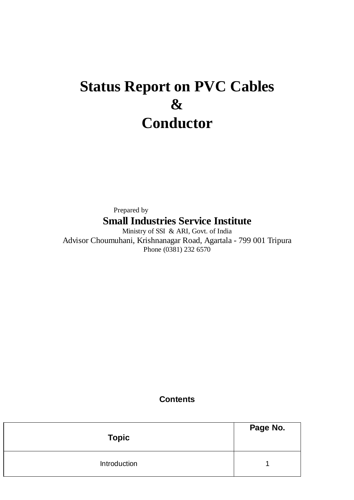# **Status Report on PVC Cables & Conductor**

 Prepared by **Small Industries Service Institute**

Ministry of SSI & ARI, Govt. of India Advisor Choumuhani, Krishnanagar Road, Agartala - 799 001 Tripura Phone (0381) 232 6570

# **Contents**

| <b>Topic</b> | Page No. |  |
|--------------|----------|--|
| Introduction |          |  |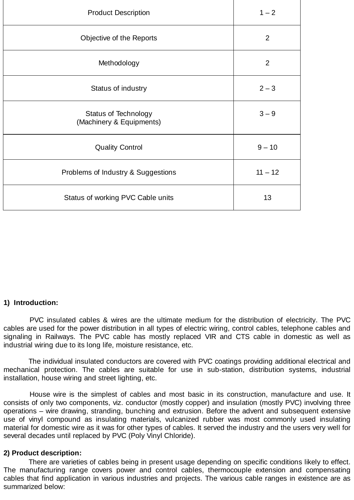| <b>Product Description</b>                              | $1 - 2$        |
|---------------------------------------------------------|----------------|
| Objective of the Reports                                | $\overline{2}$ |
| Methodology                                             | 2              |
| Status of industry                                      | $2 - 3$        |
| <b>Status of Technology</b><br>(Machinery & Equipments) | $3 - 9$        |
| <b>Quality Control</b>                                  | $9 - 10$       |
| Problems of Industry & Suggestions                      | $11 - 12$      |
| Status of working PVC Cable units                       | 13             |

## **1) Introduction:**

 PVC insulated cables & wires are the ultimate medium for the distribution of electricity. The PVC cables are used for the power distribution in all types of electric wiring, control cables, telephone cables and signaling in Railways. The PVC cable has mostly replaced VIR and CTS cable in domestic as well as industrial wiring due to its long life, moisture resistance, etc.

 The individual insulated conductors are covered with PVC coatings providing additional electrical and mechanical protection. The cables are suitable for use in sub-station, distribution systems, industrial installation, house wiring and street lighting, etc.

 House wire is the simplest of cables and most basic in its construction, manufacture and use. It consists of only two components, viz. conductor (mostly copper) and insulation (mostly PVC) involving three operations – wire drawing, stranding, bunching and extrusion. Before the advent and subsequent extensive use of vinyl compound as insulating materials, vulcanized rubber was most commonly used insulating material for domestic wire as it was for other types of cables. It served the industry and the users very well for several decades until replaced by PVC (Poly Vinyl Chloride).

#### **2) Product description:**

There are varieties of cables being in present usage depending on specific conditions likely to effect. The manufacturing range covers power and control cables, thermocouple extension and compensating cables that find application in various industries and projects. The various cable ranges in existence are as summarized below: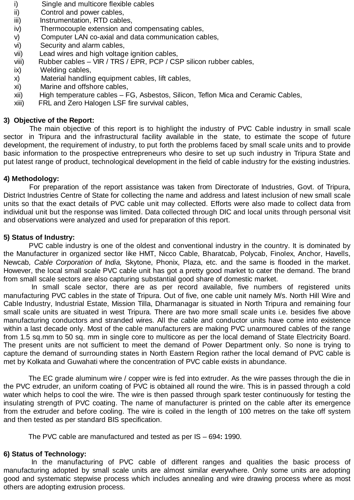- i) Single and multicore flexible cables
- ii) Control and power cables,
- iii) Instrumentation, RTD cables,
- iv) Thermocouple extension and compensating cables,
- v) Computer LAN co-axial and data communication cables,
- vi) Security and alarm cables,
- vii) Lead wires and high voltage ignition cables,
- viii) Rubber cables VIR / TRS / EPR, PCP / CSP silicon rubber cables,
- ix) Welding cables,
- x) Material handling equipment cables, lift cables,
- xi) Marine and offshore cables,
- xii) High temperature cables FG, Asbestos, Silicon, Teflon Mica and Ceramic Cables,
- xiii) FRL and Zero Halogen LSF fire survival cables,

## **3) Objective of the Report:**

 The main objective of this report is to highlight the industry of PVC Cable industry in small scale sector in Tripura and the infrastructural facility available in the state, to estimate the scope of future development, the requirement of industry, to put forth the problems faced by small scale units and to provide basic information to the prospective entrepreneurs who desire to set up such industry in Tripura State and put latest range of product, technological development in the field of cable industry for the existing industries.

## **4) Methodology:**

 For preparation of the report assistance was taken from Directorate of Industries, Govt. of Tripura, District Industries Centre of State for collecting the name and address and latest inclusion of new small scale units so that the exact details of PVC cable unit may collected. Efforts were also made to collect data from individual unit but the response was limited. Data collected through DIC and local units through personal visit and observations were analyzed and used for preparation of this report.

## **5) Status of Industry:**

PVC cable industry is one of the oldest and conventional industry in the country. It is dominated by the Manufacturer in organized sector like HMT, Nicco Cable, Bharatcab, Polycab, Finolex, Anchor, Havells, Newcab*, Cable Corporation of India,* Skytone, Phonix, Plaza, etc. and the same is flooded in the market. However, the local small scale PVC cable unit has got a pretty good market to cater the demand. The brand from small scale sectors are also capturing substantial good share of domestic market.

 In small scale sector, there are as per record available, five numbers of registered units manufacturing PVC cables in the state of Tripura. Out of five, one cable unit namely M/s. North Hill Wire and Cable Industry, Industrial Estate, Mission Tilla, Dharmanagar is situated in North Tripura and remaining four small scale units are situated in west Tripura. There are two more small scale units i.e. besides five above manufacturing conductors and stranded wires. All the cable and conductor units have come into existence within a last decade only. Most of the cable manufacturers are making PVC unarmoured cables of the range from 1.5 sq.mm to 50 sq. mm in single core to multicore as per the local demand of State Electricity Board. The present units are not sufficient to meet the demand of Power Department only. So none is trying to capture the demand of surrounding states in North Eastern Region rather the local demand of PVC cable is met by Kolkata and Guwahati where the concentration of PVC cable exists in abundance.

 The EC grade aluminum wire / copper wire is fed into extruder. As the wire passes through the die in the PVC extruder, an uniform coating of PVC is obtained all round the wire. This is in passed through a cold water which helps to cool the wire. The wire is then passed through spark tester continuously for testing the insulating strength of PVC coating. The name of manufacturer is printed on the cable after its emergence from the extruder and before cooling. The wire is coiled in the length of 100 metres on the take off system and then tested as per standard BIS specification.

The PVC cable are manufactured and tested as per IS – 694**:** 1990.

# **6) Status of Technology:**

 In the manufacturing of PVC cable of different ranges and qualities the basic process of manufacturing adopted by small scale units are almost similar everywhere. Only some units are adopting good and systematic stepwise process which includes annealing and wire drawing process where as most others are adopting extrusion process.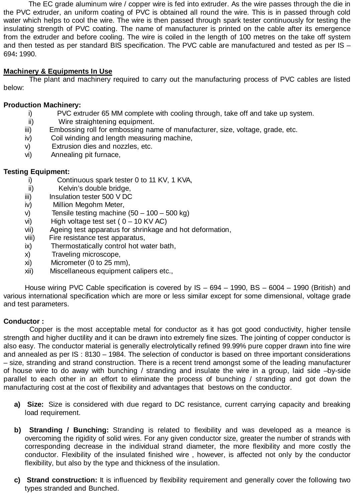The EC grade aluminum wire / copper wire is fed into extruder. As the wire passes through the die in the PVC extruder, an uniform coating of PVC is obtained all round the wire. This is in passed through cold water which helps to cool the wire. The wire is then passed through spark tester continuously for testing the insulating strength of PVC coating. The name of manufacturer is printed on the cable after its emergence from the extruder and before cooling. The wire is coiled in the length of 100 metres on the take off system and then tested as per standard BIS specification. The PVC cable are manufactured and tested as per IS – 694**:** 1990.

# **Machinery & Equipments In Use**

 The plant and machinery required to carry out the manufacturing process of PVC cables are listed below:

# **Production Machinery:**

- i) PVC extruder 65 MM complete with cooling through, take off and take up system.
- ii) Wire straightening equipment.
- iii) Embossing roll for embossing name of manufacturer, size, voltage, grade, etc.
- iv) Coil winding and length measuring machine,
- v) Extrusion dies and nozzles, etc.
- vi) Annealing pit furnace,

# **Testing Equipment:**

- i) Continuous spark tester 0 to 11 KV, 1 KVA,
- ii) Kelvin's double bridge,
- iii) Insulation tester 500 V DC
- iv) Million Megohm Meter,
- v) Tensile testing machine  $(50 100 500 \text{ kg})$
- vi) High voltage test set  $(0 10$  KV AC)
- vii) Ageing test apparatus for shrinkage and hot deformation,
- viii) Fire resistance test apparatus,
- ix) Thermostatically control hot water bath,
- x) Traveling microscope,
- xi) Micrometer (0 to 25 mm),
- xii) Miscellaneous equipment calipers etc.,

House wiring PVC Cable specification is covered by IS – 694 – 1990, BS – 6004 – 1990 (British) and various international specification which are more or less similar except for some dimensional, voltage grade and test parameters.

## **Conductor :**

 Copper is the most acceptable metal for conductor as it has got good conductivity, higher tensile strength and higher ductility and it can be drawn into extremely fine sizes. The jointing of copper conductor is also easy. The conductor material is generally electrolytically refined 99.99% pure copper drawn into fine wire and annealed as per IS : 8130 – 1984. The selection of conductor is based on three important considerations – size, stranding and strand construction. There is a recent trend amongst some of the leading manufacturer of house wire to do away with bunching / stranding and insulate the wire in a group, laid side –by-side parallel to each other in an effort to eliminate the process of bunching / stranding and got down the manufacturing cost at the cost of flexibility and advantages that bestows on the conductor.

- **a) Size:** Size is considered with due regard to DC resistance, current carrying capacity and breaking load requirement.
- **b) Stranding / Bunching:** Stranding is related to flexibility and was developed as a meance is overcoming the rigidity of solid wires. For any given conductor size, greater the number of strands with corresponding decrease in the individual strand diameter, the more flexibility and more costly the conductor. Flexibility of the insulated finished wire , however, is affected not only by the conductor flexibility, but also by the type and thickness of the insulation.
- **c) Strand construction:** It is influenced by flexibility requirement and generally cover the following two types stranded and Bunched.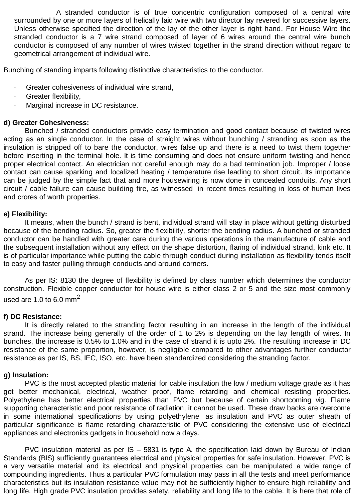A stranded conductor is of true concentric configuration composed of a central wire surrounded by one or more layers of helically laid wire with two director lay revered for successive layers. Unless otherwise specified the direction of the lay of the other layer is right hand. For House Wire the stranded conductor is a 7 wire strand composed of layer of 6 wires around the central wire bunch conductor is composed of any number of wires twisted together in the strand direction without regard to geometrical arrangement of individual wire.

Bunching of standing imparts following distinctive characteristics to the conductor.

- · Greater cohesiveness of individual wire strand,
- · Greater flexibility,
- Marginal increase in DC resistance.

#### **d) Greater Cohesiveness:**

Bunched / stranded conductors provide easy termination and good contact because of twisted wires acting as an single conductor. In the case of straight wires without bunching / stranding as soon as the insulation is stripped off to bare the conductor, wires false up and there is a need to twist them together before inserting in the terminal hole. It is time consuming and does not ensure uniform twisting and hence proper electrical contact. An electrician not careful enough may do a bad termination job. Improper / loose contact can cause sparking and localized heating / temperature rise leading to short circuit. Its importance can be judged by the simple fact that and more housewiring is now done in concealed conduits. Any short circuit / cable failure can cause building fire, as witnessed in recent times resulting in loss of human lives and crores of worth properties.

#### **e) Flexibility:**

It means, when the bunch / strand is bent, individual strand will stay in place without getting disturbed because of the bending radius. So, greater the flexibility, shorter the bending radius. A bunched or stranded conductor can be handled with greater care during the various operations in the manufacture of cable and the subsequent installation without any effect on the shape distortion, flaring of individual strand, kink etc. It is of particular importance while putting the cable through conduct during installation as flexibility tends itself to easy and faster pulling through conducts and around corners.

As per IS: 8130 the degree of flexibility is defined by class number which determines the conductor construction. Flexible copper conductor for house wire is either class 2 or 5 and the size most commonly used are 1.0 to 6.0 mm<sup>2</sup>

#### **f) DC Resistance:**

It is directly related to the stranding factor resulting in an increase in the length of the individual strand. The increase being generally of the order of 1 to 2% is depending on the lay length of wires. In bunches, the increase is 0.5% to 1.0% and in the case of strand it is upto 2%. The resulting increase in DC resistance of the same proportion, however, is negligible compared to other advantages further conductor resistance as per IS, BS, IEC, ISO, etc. have been standardized considering the stranding factor.

## **g) Insulation:**

PVC is the most accepted plastic material for cable insulation the low / medium voltage grade as it has got better mechanical, electrical, weather proof, flame retarding and chemical resisting properties. Polyethylene has better electrical properties than PVC but because of certain shortcoming vig. Flame supporting characteristic and poor resistance of radiation, it cannot be used. These draw backs are overcome in some international specifications by using polyethylene as insulation and PVC as outer sheath of particular significance is flame retarding characteristic of PVC considering the extensive use of electrical appliances and electronics gadgets in household now a days.

PVC insulation material as per IS – 5831 is type A. the specification laid down by Bureau of Indian Standards (BIS) sufficiently guarantees electrical and physical properties for safe insulation. However, PVC is a very versatile material and its electrical and physical properties can be manipulated a wide range of compounding ingredients. Thus a particular PVC formulation may pass in all the tests and meet performance characteristics but its insulation resistance value may not be sufficiently higher to ensure high reliability and long life. High grade PVC insulation provides safety, reliability and long life to the cable. It is here that role of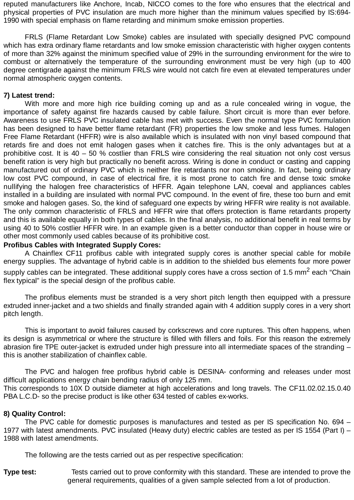reputed manufacturers like Anchore, Incab, NICCO comes to the fore who ensures that the electrical and physical properties of PVC insulation are much more higher than the minimum values specified by IS:694- 1990 with special emphasis on flame retarding and minimum smoke emission properties.

FRLS (Flame Retardant Low Smoke) cables are insulated with specially designed PVC compound which has extra ordinary flame retardants and low smoke emission characteristic with higher oxygen contents of more than 32% against the minimum specified value of 29% in the surrounding environment for the wire to combust or alternatively the temperature of the surrounding environment must be very high (up to 400 degree centigrade against the minimum FRLS wire would not catch fire even at elevated temperatures under normal atmospheric oxygen contents.

## **7) Latest trend:**

With more and more high rice building coming up and as a rule concealed wiring in vogue, the importance of safety against fire hazards caused by cable failure. Short circuit is more than ever before. Awareness to use FRLS PVC insulated cable has met with success. Even the normal type PVC formulation has been designed to have better flame retardant (FR) properties the low smoke and less fumes. Halogen Free Flame Retardant (HFFR) wire is also available which is insulated with non vinyl based compound that retards fire and does not emit halogen gases when it catches fire. This is the only advantages but at a prohibitive cost. It is 40 – 50 % costlier than FRLS wire considering the real situation not only cost versus benefit ration is very high but practically no benefit across. Wiring is done in conduct or casting and capping manufactured out of ordinary PVC which is neither fire retardants nor non smoking. In fact, being ordinary low cost PVC compound, in case of electrical fire, it is most prone to catch fire and dense toxic smoke nullifying the halogen free characteristics of HFFR. Again telephone LAN, coeval and appliances cables installed in a building are insulated with normal PVC compound. In the event of fire, these too burn and emit smoke and halogen gases. So, the kind of safeguard one expects by wiring HFFR wire reality is not available. The only common characteristic of FRLS and HFFR wire that offers protection is flame retardants property and this is available equally in both types of cables. In the final analysis, no additional benefit in real terms by using 40 to 50% costlier HFFR wire. In an example given is a better conductor than copper in house wire or other most commonly used cables because of its prohibitive cost.

## **Profibus Cables with Integrated Supply Cores:**

A Chainflex CF11 profibus cable with integrated supply cores is another special cable for mobile energy supplies. The advantage of hybrid cable is in addition to the shielded bus elements four more power supply cables can be integrated. These additional supply cores have a cross section of 1.5 mm $^2$  each "Chain flex typical" is the special design of the profibus cable.

The profibus elements must be stranded is a very short pitch length then equipped with a pressure extruded inner-jacket and a two shields and finally stranded again with 4 addition supply cores in a very short pitch length.

This is important to avoid failures caused by corkscrews and core ruptures. This often happens, when its design is asymmetrical or where the structure is filled with fillers and foils. For this reason the extremely abrasion fire TPE outer-jacket is extruded under high pressure into all intermediate spaces of the stranding – this is another stabilization of chainflex cable.

The PVC and halogen free profibus hybrid cable is DESINA- conforming and releases under most difficult applications energy chain bending radius of only 125 mm.

This corresponds to 10X D outside diameter at high accelerations and long travels. The CF11.02.02.15.0.40 PBA L.C.D- so the precise product is like other 634 tested of cables ex-works.

## **8) Quality Control:**

The PVC cable for domestic purposes is manufactures and tested as per IS specification No. 694 – 1977 with latest amendments. PVC insulated (Heavy duty) electric cables are tested as per IS 1554 (Part I) – 1988 with latest amendments.

The following are the tests carried out as per respective specification:

**Type test:** Tests carried out to prove conformity with this standard. These are intended to prove the general requirements, qualities of a given sample selected from a lot of production.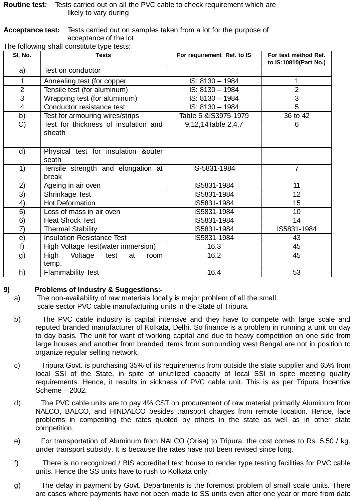**Routine test:** Tests carried out on all the PVC cable to check requirement which are likely to vary during

**Acceptance test:** Tests carried out on samples taken from a lot for the purpose of acceptance of the lot

The following shall constitute type tests:

| SI. No.        | <b>Tests</b>                          | For requirement Ref. to IS | For test method Ref.  |  |
|----------------|---------------------------------------|----------------------------|-----------------------|--|
|                |                                       |                            | to IS:10810(Part No.) |  |
| a)             | Test on conductor                     |                            |                       |  |
| $\mathbf{1}$   | Annealing test (for copper            | IS: 8130 - 1984            | 1                     |  |
| $\overline{2}$ | Tensile test (for aluminum)           | IS: 8130 - 1984            | $\mathbf{2}$          |  |
| $\overline{3}$ | Wrapping test (for aluminum)          | IS: 8130 - 1984            | $\overline{3}$        |  |
| 4              | Conductor resistance test             | IS: 8130 - 1984            | 5                     |  |
| b)             | Test for armouring wires/strips       | Table 5 & S3975-1979       | 36 to 42              |  |
| C)             | Test for thickness of insulation and  | 9,12,14Table 2,4,7         | 6                     |  |
|                | sheath                                |                            |                       |  |
|                |                                       |                            |                       |  |
| d)             | Physical test for insulation & outer  |                            |                       |  |
|                | seath                                 |                            |                       |  |
| 1)             | Tensile strength and elongation at    | IS-5831-1984               | $\overline{7}$        |  |
|                | break                                 |                            |                       |  |
| 2)             | Ageing in air oven                    | IS5831-1984                | 11                    |  |
| 3)             | Shrinkage Test                        | IS5831-1984                | 12                    |  |
| 4)             | <b>Hot Deformation</b>                | IS5831-1984                | 15                    |  |
| 5)             | Loss of mass in air oven              | IS5831-1984                | 10                    |  |
| 6)             | <b>Heat Shock Test</b>                | IS5831-1984                | 14                    |  |
| 7)             | <b>Thermal Stability</b>              | IS5831-1984                | IS5831-1984           |  |
| e)             | <b>Insulation Resistance Test</b>     | IS5831-1984                | 43                    |  |
| f)             | High Voltage Test(water immersion)    | 16.3                       | 45                    |  |
| g)             | Voltage<br>High<br>test<br>at<br>room | 16.2                       | 45                    |  |
|                | temp.                                 |                            |                       |  |
| h)             | <b>Flammability Test</b>              | 16.4                       | 53                    |  |

# **9) Problems of Industry & Suggestions:-**

- a) The non-availability of raw materials locally is major problem of all the small scale sector PVC cable manufacturing units in the State of Tripura.
- b) The PVC cable industry is capital intensive and they have to compete with large scale and reputed branded manufacturer of Kolkata, Delhi. So finance is a problem in running a unit on day to day basis. The unit for want of working capital and due to heavy competition on one side from large houses and another from branded items from surrounding west Bengal are not in position to organize regular selling network,
- c) Tripura Govt. is purchasing 35% of its requirements from outside the state supplier and 65% from local SSI of the State, in spite of unutilized capacity of local SSI in spite meeting quality requirements. Hence, it results in sickness of PVC cable unit. This is as per Tripura Incentive Scheme – 2002.
- d) The PVC cable units are to pay 4% CST on procurement of raw material primarily Aluminum from NALCO, BALCO, and HINDALCO besides transport charges from remote location. Hence, face problems in competiting the rates quoted by others in the state as well as in other state competition.
- e) For transportation of Aluminum from NALCO (Orisa) to Tripura, the cost comes to Rs. 5.50 / kg. under transport subsidy. It is because the rates have not been revised since long.
- f) There is no recognized / BIS accredited test house to render type testing facilities for PVC cable units. Hence the SS units have to rush to Kolkata only.
- g) The delay in payment by Govt. Departments is the foremost problem of small scale units. There are cases where payments have not been made to SS units even after one year or more from date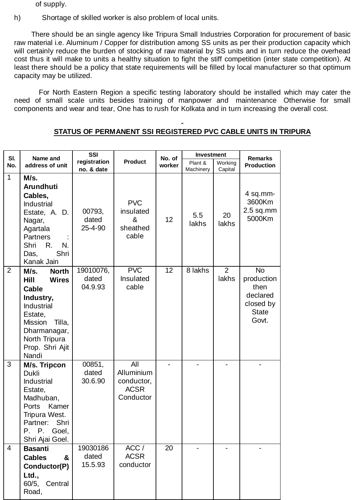of supply.

h) Shortage of skilled worker is also problem of local units.

 There should be an single agency like Tripura Small Industries Corporation for procurement of basic raw material i.e. Aluminum / Copper for distribution among SS units as per their production capacity which will certainly reduce the burden of stocking of raw material by SS units and in turn reduce the overhead cost thus it will make to units a healthy situation to fight the stiff competition (inter state competition). At least there should be a policy that state requirements will be filled by local manufacturer so that optimum capacity may be utilized.

 For North Eastern Region a specific testing laboratory should be installed which may cater the need of small scale units besides training of manpower and maintenance Otherwise for small components and wear and tear, One has to rush for Kolkata and in turn increasing the overall cost.

# **STATUS OF PERMANENT SSI REGISTERED PVC CABLE UNITS IN TRIPURA**

| SI.            | Name and<br>address of unit                                                                                                                                                                 | <b>SSI</b><br>registration<br><b>Product</b> |                                                             | No. of  | <b>Investment</b> |             | <b>Remarks</b><br><b>Production</b>                                               |
|----------------|---------------------------------------------------------------------------------------------------------------------------------------------------------------------------------------------|----------------------------------------------|-------------------------------------------------------------|---------|-------------------|-------------|-----------------------------------------------------------------------------------|
| No.            |                                                                                                                                                                                             |                                              | worker                                                      | Plant & | Working           |             |                                                                                   |
| $\mathbf{1}$   |                                                                                                                                                                                             | no. & date                                   |                                                             |         | Machinery         | Capital     |                                                                                   |
|                | M/s.<br><b>Arundhuti</b><br>Cables,<br>Industrial<br>Estate, A. D.<br>Nagar,<br>Agartala<br><b>Partners</b><br>Shri<br>N.<br>R.<br>Shri<br>Das,<br>Kanak Jain                               | 00793,<br>dated<br>25-4-90                   | <b>PVC</b><br>insulated<br>&<br>sheathed<br>cable           | 12      | 5.5<br>lakhs      | 20<br>lakhs | 4 sq.mm-<br>3600Km<br>$2.5$ sq.mm<br>5000Km                                       |
| $\overline{2}$ | M/s.<br><b>North</b><br><b>Wires</b><br><b>Hill</b><br>Cable<br>Industry,<br>Industrial<br>Estate,<br>Tilla,<br><b>Mission</b><br>Dharmanagar,<br>North Tripura<br>Prop. Shri Ajit<br>Nandi | 19010076,<br>dated<br>04.9.93                | <b>PVC</b><br>Insulated<br>cable                            | 12      | 8 lakhs           | 2<br>lakhs  | <b>No</b><br>production<br>then<br>declared<br>closed by<br><b>State</b><br>Govt. |
| 3              | M/s. Tripcon<br><b>Dukli</b><br><b>Industrial</b><br>Estate,<br>Madhuban,<br>Kamer<br>Ports<br><b>Tripura West</b><br>Partner: Shri<br>P. P. Goel,<br>Shri Ajai Goel.                       | 00851,<br>dated<br>30.6.90                   | All<br>Alluminium<br>conductor,<br><b>ACSR</b><br>Conductor |         |                   |             |                                                                                   |
| 4              | <b>Basanti</b><br><b>Cables</b><br>&<br>Conductor(P)<br>Ltd.,<br>60/5, Central<br>Road,                                                                                                     | 19030186<br>dated<br>15.5.93                 | ACC /<br><b>ACSR</b><br>conductor                           | 20      |                   |             |                                                                                   |